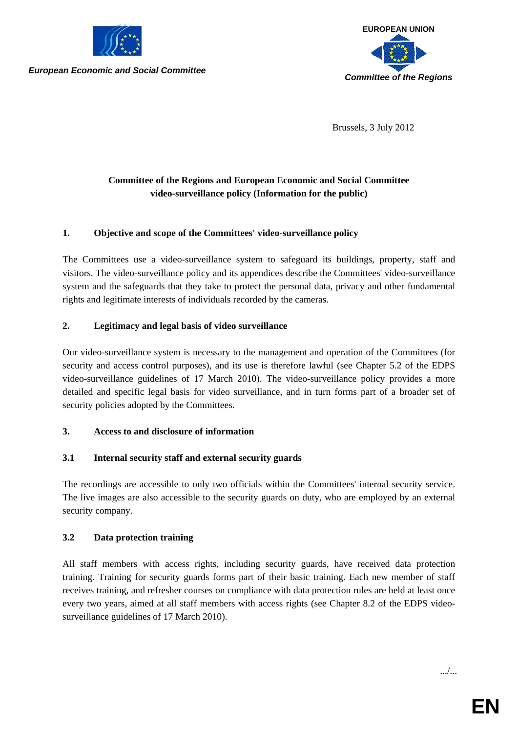

*European Economic and Social Committee*



Brussels, 3 July 2012

# **Committee of the Regions and European Economic and Social Committee video-surveillance policy (Information for the public)**

## **1. Objective and scope of the Committees' video-surveillance policy**

The Committees use a video-surveillance system to safeguard its buildings, property, staff and visitors. The video-surveillance policy and its appendices describe the Committees' video-surveillance system and the safeguards that they take to protect the personal data, privacy and other fundamental rights and legitimate interests of individuals recorded by the cameras.

#### **2. Legitimacy and legal basis of video surveillance**

Our video-surveillance system is necessary to the management and operation of the Committees (for security and access control purposes), and its use is therefore lawful (see Chapter 5.2 of the EDPS video-surveillance guidelines of 17 March 2010). The video-surveillance policy provides a more detailed and specific legal basis for video surveillance, and in turn forms part of a broader set of security policies adopted by the Committees.

#### **3. Access to and disclosure of information**

## **3.1 Internal security staff and external security guards**

The recordings are accessible to only two officials within the Committees' internal security service. The live images are also accessible to the security guards on duty, who are employed by an external security company.

## **3.2 Data protection training**

All staff members with access rights, including security guards, have received data protection training. Training for security guards forms part of their basic training. Each new member of staff receives training, and refresher courses on compliance with data protection rules are held at least once every two years, aimed at all staff members with access rights (see Chapter 8.2 of the EDPS videosurveillance guidelines of 17 March 2010).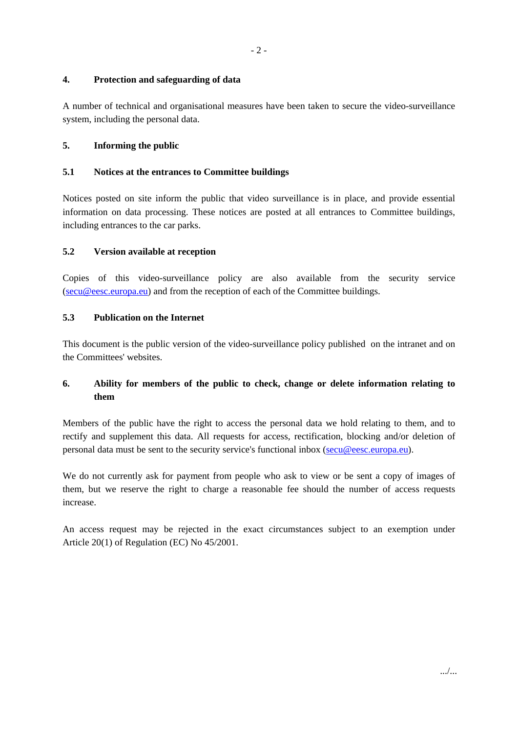#### **4. Protection and safeguarding of data**

A number of technical and organisational measures have been taken to secure the video-surveillance system, including the personal data.

## **5. Informing the public**

## **5.1 Notices at the entrances to Committee buildings**

Notices posted on site inform the public that video surveillance is in place, and provide essential information on data processing. These notices are posted at all entrances to Committee buildings, including entrances to the car parks.

## **5.2 Version available at reception**

Copies of this video-surveillance policy are also available from the security service (secu@eesc.europa.eu) and from the reception of each of the Committee buildings.

#### **5.3 Publication on the Internet**

This document is the public version of the video-surveillance policy published on the intranet and on the Committees' websites.

# **6. Ability for members of the public to check, change or delete information relating to them**

Members of the public have the right to access the personal data we hold relating to them, and to rectify and supplement this data. All requests for access, rectification, blocking and/or deletion of personal data must be sent to the security service's functional inbox (secu@eesc.europa.eu).

We do not currently ask for payment from people who ask to view or be sent a copy of images of them, but we reserve the right to charge a reasonable fee should the number of access requests increase.

An access request may be rejected in the exact circumstances subject to an exemption under Article 20(1) of Regulation (EC) No 45/2001.